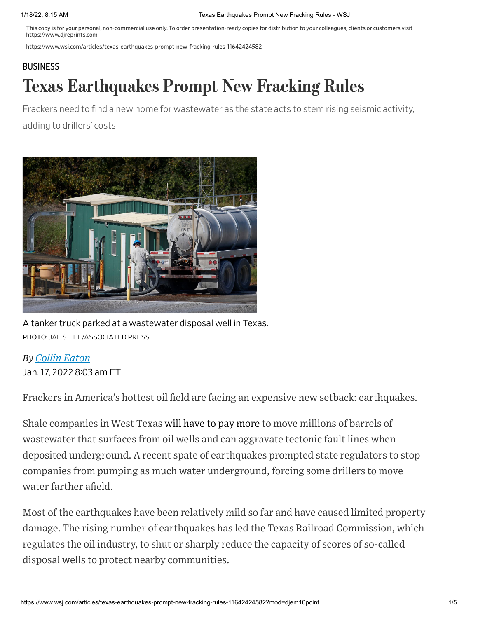This copy is for your personal, non-commercial use only. To order presentation-ready copies for distribution to your colleagues, clients or customers visit https://www.djreprints.com.

https://www.wsj.com/articles/texas-earthquakes-prompt-new-fracking-rules-11642424582

# [BUSINESS](https://www.wsj.com/news/business?mod=breadcrumb) Texas Earthquakes Prompt New Fracking Rules

Frackers need to find a new home for wastewater as the state acts to stem rising seismic activity, adding to drillers' costs



A tanker truck parked at a wastewater disposal well in Texas. PHOTO: JAE S. LEE/ASSOCIATED PRESS

## *By Collin Eaton*

Jan. 17, 2022 8:03 am ET

Frackers in America's hottest oil field are facing an expensive new setback: earthquakes.

Shale companies in West Texas will have to pay [more](https://www.wsj.com/articles/shale-drillers-may-spend-more-but-dont-expect-a-bonanza-even-at-80-oil-11634042534?mod=article_inline) to move millions of barrels of wastewater that surfaces from oil wells and can aggravate tectonic fault lines when deposited underground. A recent spate of earthquakes prompted state regulators to stop companies from pumping as much water underground, forcing some drillers to move water farther afield.

Most of the earthquakes have been relatively mild so far and have caused limited property damage. The rising number of earthquakes has led the Texas Railroad Commission, which regulates the oil industry, to shut or sharply reduce the capacity of scores of so-called disposal wells to protect nearby communities.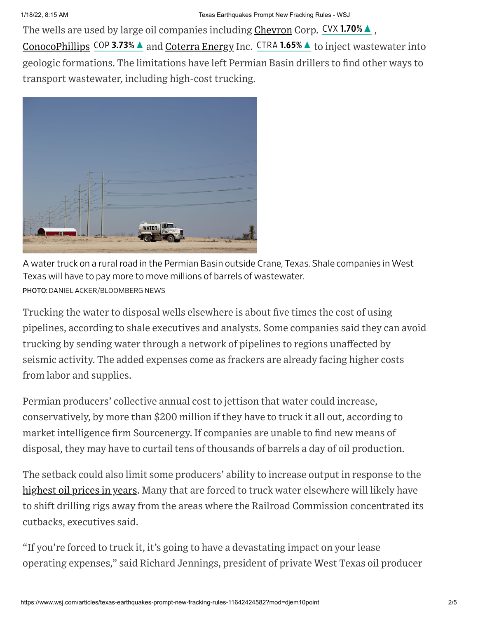The wells are used by large oil companies including [Chevron](https://www.wsj.com/market-data/quotes/CVX) Corp. CVX [1.70%](https://www.wsj.com/market-data/quotes/CVX?mod=chiclets)▲, [ConocoPhillips](https://www.wsj.com/market-data/quotes/COP) COP 3.73% ▲ and [Coterra](https://www.wsj.com/market-data/quotes/CTRA) Energy Inc. CTRA [1.65%](https://www.wsj.com/market-data/quotes/CTRA?mod=chiclets) ▲ to inject wastewater into geologic formations. The limitations have left Permian Basin drillers to find other ways to transport wastewater, including high-cost trucking.



A water truck on a rural road in the Permian Basin outside Crane, Texas. Shale companies in West Texas will have to pay more to move millions of barrels of wastewater. PHOTO: DANIEL ACKER/BLOOMBERG NEWS

Trucking the water to disposal wells elsewhere is about five times the cost of using pipelines, according to shale executives and analysts. Some companies said they can avoid trucking by sending water through a network of pipelines to regions unaffected by seismic activity. The added expenses come as frackers are already facing higher costs from labor and supplies.

Permian producers' collective annual cost to jettison that water could increase, conservatively, by more than \$200 million if they have to truck it all out, according to market intelligence firm Sourcenergy. If companies are unable to find new means of disposal, they may have to curtail tens of thousands of barrels a day of oil production.

The setback could also limit some producers' ability to increase output in response to the [highest](https://www.wsj.com/articles/oil-price-jumps-above-80-and-natural-gas-races-higher-turbocharged-by-supply-shortages-11633943832?mod=article_inline) oil prices in years. Many that are forced to truck water elsewhere will likely have to shift drilling rigs away from the areas where the Railroad Commission concentrated its cutbacks, executives said.

"If you're forced to truck it, it's going to have a devastating impact on your lease operating expenses," said Richard Jennings, president of private West Texas oil producer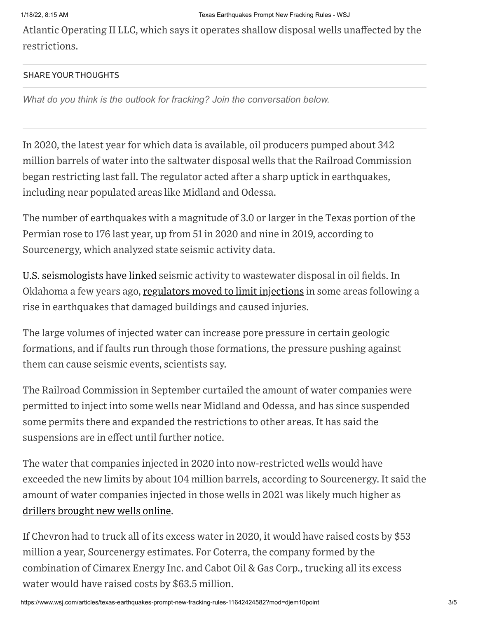Atlantic Operating II LLC, which says it operates shallow disposal wells unaffected by the restrictions.

#### SHARE YOUR THOUGHTS

*What do you think is the outlook for fracking? Join the conversation below.*

In 2020, the latest year for which data is available, oil producers pumped about 342 million barrels of water into the saltwater disposal wells that the Railroad Commission began restricting last fall. The regulator acted after a sharp uptick in earthquakes, including near populated areas like Midland and Odessa.

The number of earthquakes with a magnitude of 3.0 or larger in the Texas portion of the Permian rose to 176 last year, up from 51 in 2020 and nine in 2019, according to Sourcenergy, which analyzed state seismic activity data.

U.S. [seismologists](https://www.wsj.com/articles/surge-in-seismic-activity-tied-to-oil-and-gas-extraction-1404410402?mod=article_inline) have linked seismic activity to wastewater disposal in oil fields. In Oklahoma a few years ago, [regulators](https://www.wsj.com/articles/earthquake-shakes-swath-of-midwest-from-missouri-to-oklahoma-1472906357?mod=article_inline) moved to limit injections in some areas following a rise in earthquakes that damaged buildings and caused injuries.

The large volumes of injected water can increase pore pressure in certain geologic formations, and if faults run through those formations, the pressure pushing against them can cause seismic events, scientists say.

The Railroad Commission in September curtailed the amount of water companies were permitted to inject into some wells near Midland and Odessa, and has since suspended some permits there and expanded the restrictions to other areas. It has said the suspensions are in effect until further notice.

The water that companies injected in 2020 into now-restricted wells would have exceeded the new limits by about 104 million barrels, according to Sourcenergy. It said the amount of water companies injected in those wells in 2021 was likely much higher as drillers [brought](https://www.wsj.com/articles/confronting-inflation-biden-administration-turns-to-oil-industry-it-once-shunned-11640178001?mod=article_inline) new wells online.

If Chevron had to truck all of its excess water in 2020, it would have raised costs by \$53 million a year, Sourcenergy estimates. For Coterra, the company formed by the combination of Cimarex Energy Inc. and Cabot Oil & Gas Corp., trucking all its excess water would have raised costs by \$63.5 million.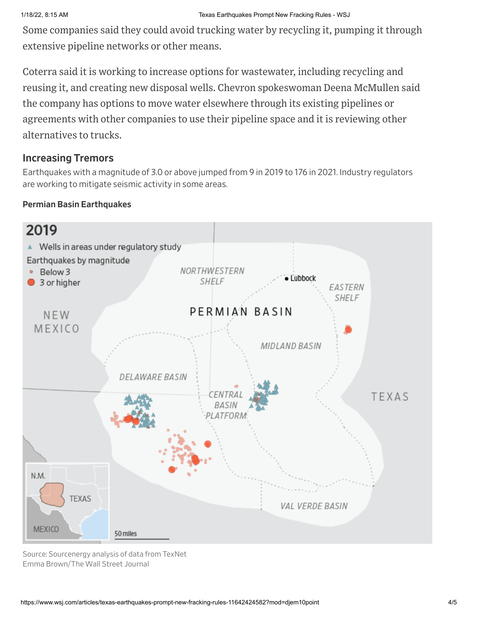Some companies said they could avoid trucking water by recycling it, pumping it through extensive pipeline networks or other means.

Coterra said it is working to increase options for wastewater, including recycling and reusing it, and creating new disposal wells. Chevron spokeswoman Deena McMullen said the company has options to move water elsewhere through its existing pipelines or agreements with other companies to use their pipeline space and it is reviewing other alternatives to trucks.

### Increasing Tremors

Earthquakes with a magnitude of 3.0 or above jumped from 9 in 2019 to 176 in 2021. Industry regulators are working to mitigate seismic activity in some areas.

#### Permian Basin Earthquakes



Source: Sourcenergy analysis of data from TexNet Emma Brown/The Wall Street Journal